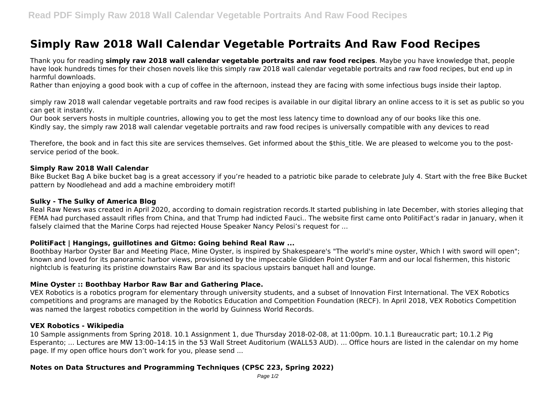# **Simply Raw 2018 Wall Calendar Vegetable Portraits And Raw Food Recipes**

Thank you for reading **simply raw 2018 wall calendar vegetable portraits and raw food recipes**. Maybe you have knowledge that, people have look hundreds times for their chosen novels like this simply raw 2018 wall calendar vegetable portraits and raw food recipes, but end up in harmful downloads.

Rather than enjoying a good book with a cup of coffee in the afternoon, instead they are facing with some infectious bugs inside their laptop.

simply raw 2018 wall calendar vegetable portraits and raw food recipes is available in our digital library an online access to it is set as public so you can get it instantly.

Our book servers hosts in multiple countries, allowing you to get the most less latency time to download any of our books like this one. Kindly say, the simply raw 2018 wall calendar vegetable portraits and raw food recipes is universally compatible with any devices to read

Therefore, the book and in fact this site are services themselves. Get informed about the \$this title. We are pleased to welcome you to the postservice period of the book.

#### **Simply Raw 2018 Wall Calendar**

Bike Bucket Bag A bike bucket bag is a great accessory if you're headed to a patriotic bike parade to celebrate July 4. Start with the free Bike Bucket pattern by Noodlehead and add a machine embroidery motif!

## **Sulky - The Sulky of America Blog**

Real Raw News was created in April 2020, according to domain registration records.It started publishing in late December, with stories alleging that FEMA had purchased assault rifles from China, and that Trump had indicted Fauci.. The website first came onto PolitiFact's radar in January, when it falsely claimed that the Marine Corps had rejected House Speaker Nancy Pelosi's request for ...

#### **PolitiFact | Hangings, guillotines and Gitmo: Going behind Real Raw ...**

Boothbay Harbor Oyster Bar and Meeting Place, Mine Oyster, is inspired by Shakespeare's "The world's mine oyster, Which I with sword will open"; known and loved for its panoramic harbor views, provisioned by the impeccable Glidden Point Oyster Farm and our local fishermen, this historic nightclub is featuring its pristine downstairs Raw Bar and its spacious upstairs banquet hall and lounge.

#### **Mine Oyster :: Boothbay Harbor Raw Bar and Gathering Place.**

VEX Robotics is a robotics program for elementary through university students, and a subset of Innovation First International. The VEX Robotics competitions and programs are managed by the Robotics Education and Competition Foundation (RECF). In April 2018, VEX Robotics Competition was named the largest robotics competition in the world by Guinness World Records.

#### **VEX Robotics - Wikipedia**

10 Sample assignments from Spring 2018. 10.1 Assignment 1, due Thursday 2018-02-08, at 11:00pm. 10.1.1 Bureaucratic part; 10.1.2 Pig Esperanto; ... Lectures are MW 13:00–14:15 in the 53 Wall Street Auditorium (WALL53 AUD). ... Office hours are listed in the calendar on my home page. If my open office hours don't work for you, please send ...

# **Notes on Data Structures and Programming Techniques (CPSC 223, Spring 2022)**